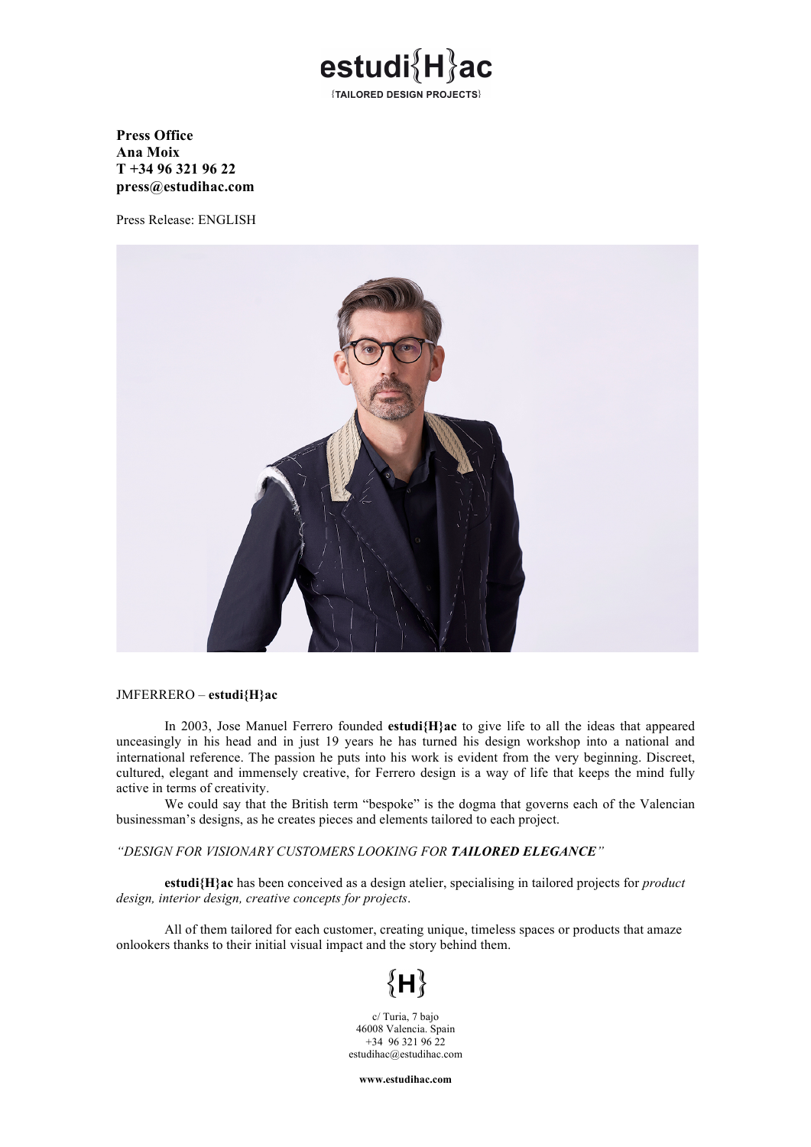

### **Press Office Ana Moix T +34 96 321 96 22 press@estudihac.com**

Press Release: ENGLISH



### JMFERRERO – **estudi{H}ac**

In 2003, Jose Manuel Ferrero founded **estudi{H}ac** to give life to all the ideas that appeared unceasingly in his head and in just 19 years he has turned his design workshop into a national and international reference. The passion he puts into his work is evident from the very beginning. Discreet, cultured, elegant and immensely creative, for Ferrero design is a way of life that keeps the mind fully active in terms of creativity.

We could say that the British term "bespoke" is the dogma that governs each of the Valencian businessman's designs, as he creates pieces and elements tailored to each project.

#### *"DESIGN FOR VISIONARY CUSTOMERS LOOKING FOR TAILORED ELEGANCE"*

**estudi{H}ac** has been conceived as a design atelier, specialising in tailored projects for *product design, interior design, creative concepts for projects*.

All of them tailored for each customer, creating unique, timeless spaces or products that amaze onlookers thanks to their initial visual impact and the story behind them.

# $\{H\}$

c/ Turia, 7 bajo 46008 Valencia. Spain  $+34$  96 321 96 22 estudihac@estudihac.com

**www.estudihac.com**